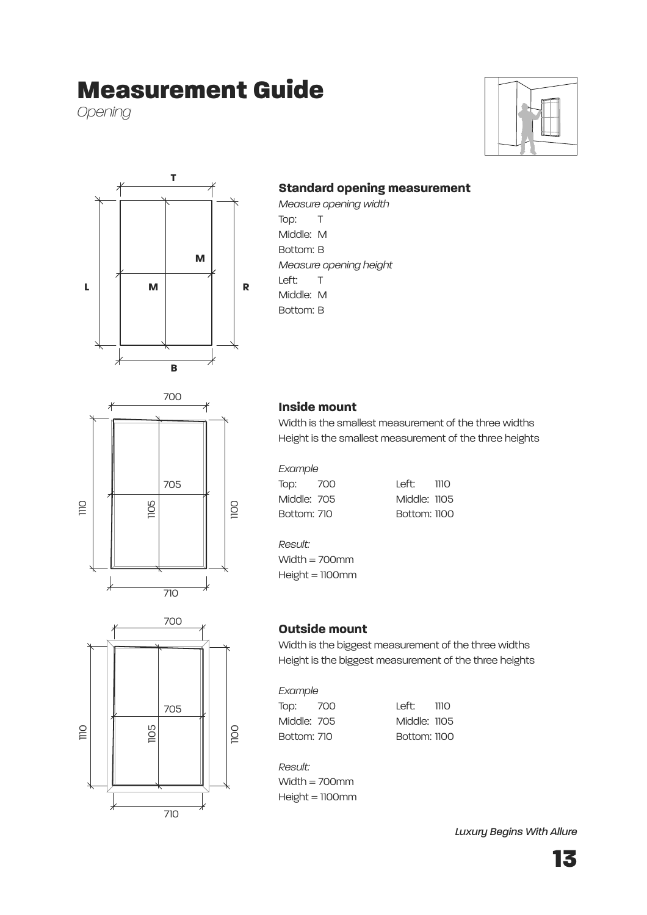# Measurement Guide

*Opening*





### **Standard opening measurement**

*Measure opening width* Top: T Middle: M Bottom: B *Measure opening height* Left: T Middle: M Bottom: B





### **Inside mount**

Width is the smallest measurement of the three widths Height is the smallest measurement of the three heights

| Example     |              |  |
|-------------|--------------|--|
| Top: 700    | Left: 1110   |  |
| Middle: 705 | Middle: 1105 |  |
| Bottom: 710 | Bottom: 1100 |  |

Middle: 1105 **Bottom: 1100** 

*Result:*

Width = 700mm  $Height = 1100$ mm

#### **Outside mount**

Width is the biggest measurement of the three widths Height is the biggest measurement of the three heights

| II I II.<br>L |
|---------------|
|---------------|

Top: 700 Left: 1110 Middle: 705 Middle: 1105 Bottom: 710 Bottom: 1100

*Result:* Width  $= 700$ mm  $Height = 1100$ mm

*Luxury Begins With Allure*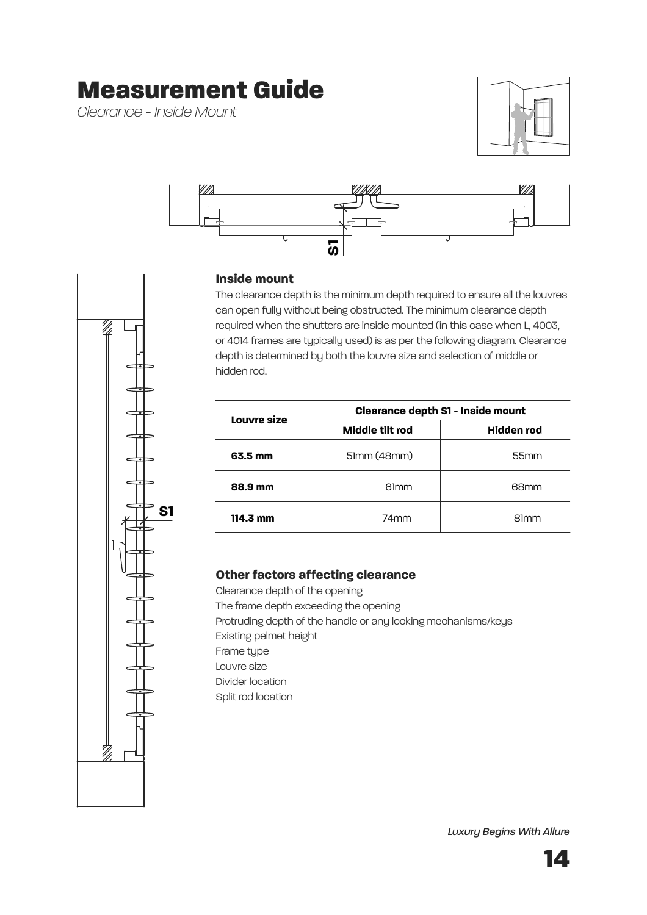# Measurement Guide

*Clearance - Inside Mount*





### **Inside mount**

The clearance depth is the minimum depth required to ensure all the louvres can open fully without being obstructed. The minimum clearance depth required when the shutters are inside mounted (in this case when L, 4003, or 4014 frames are typically used) is as per the following diagram. Clearance depth is determined by both the louvre size and selection of middle or hidden rod.

| Louvre size | <b>Clearance depth S1 - Inside mount</b> |             |  |
|-------------|------------------------------------------|-------------|--|
|             | Middle tilt rod                          | Hidden rod  |  |
| 63.5 mm     | 51mm (48mm)                              | 55mm        |  |
| 88.9 mm     | 61 <sub>mm</sub>                         | 68mm        |  |
| 114.3 mm    | 74mm                                     | <b>81mm</b> |  |

#### **Other factors affecting clearance**

Clearance depth of the opening The frame depth exceeding the opening Protruding depth of the handle or any locking mechanisms/keys Existing pelmet height Frame type Louvre size Divider location Split rod location



*Luxury Begins With Allure*